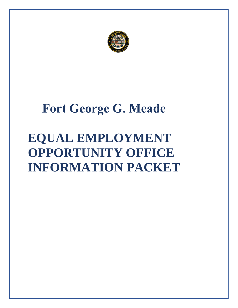

## **Fort George G. Meade**

# **EQUAL EMPLOYMENT OPPORTUNITY OFFICE INFORMATION PACKET**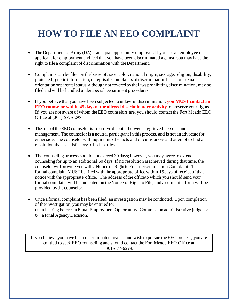### **HOW TO FILE AN EEO COMPLAINT**

- The Department of Army (DA) is an equal opportunity employer. If you are an employee or applicant for employment and feel that you have been discriminated against, you may have the right to file a complaint of discrimination with the Department.
- Complaints can be filed on the bases of: race, color, national origin, sex, age,religion, disability, protected genetic information, or reprisal. Complaints of discrimination based on sexual orientation or parental status, although not covered by the laws prohibiting discrimination, may be filed and will be handled under special Department procedures.
- If you believe that you have been subjected to unlawful discrimination, **you MUST contact an EEO counselor within 45 days of the alleged discriminatory activity** to preserve your rights. If you are not aware of whom the EEO counselors are, you should contact the Fort Meade EEO Office at (301) 677-6298.
- The role of the EEO counselor is to resolve disputes between aggrieved persons and management. The counselor is a neutral participant in this process, and is not an advocate for either side. The counselor will inquire into the facts and circumstances and attempt to find a resolution that is satisfactory to both parties.
- The counseling process should not exceed 30 days; however, you may agree to extend counseling for up to an additional 60 days. If no resolution isachieved during that time, the counselor willprovide you with a Notice of RighttoFile aDiscrimination Complaint. The formal complaint MUST be filed with the appropriate office within 15 days of receipt of that notice with the appropriate office. The address of the office to which· you should send your formal complaint will be indicated on the Notice of Right to File, and a complaint form will be provided bythe counselor.
- Once a formal complaint has been filed, an investigation may be conducted. Upon completion of the investigation, you may be entitled to:
	- o a hearing before anEqual Employment Opportunity Commission administrative judge, or
	- o a Final Agency Decision.

If you believe you have been discriminated against and wish to pursue the EEO process, you are entitled to seek EEO counseling and should contact the Fort Meade EEO Office at 301-677-6298.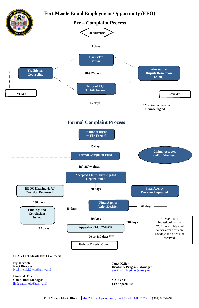

**Janet Kelley Disability Program Manager** janet.m.kelley4.civ@army.mil

**VACANT EEO Specialist**

#### **USAG Fort Meade EEO Contacts:**

**Ivy Merrick EEO Director** ivy.l.merrick2.civ@army.mil

**Linda M. Orr Complaints Manager** linda.m.orr.civ@army.mil

 **Fort Meade EEO Office** │ 4432 Llewellyn Avenue, Fort Meade, MD 20755 │ (301) 677-6298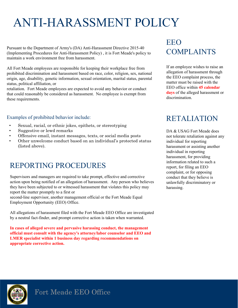## ANTI-HARASSMENT POLICY

 maintain a work environment free from harassment. Pursuant to the Department of Army's (DA) Anti-Harassment Directive 2015-40 (Implementing Procedures for Anti-Harassment Policy) , it is Fort Meade's policy to

All Fort Meade employees are responsible for keeping their workplace free from prohibited discrimination and harassment based on race, color, religion, sex, national origin, age, disability, genetic information, sexual orientation, marital status, parental status, political affiliation, or

retaliation. Fort Meade employees are expected to avoid any behavior or conduct that could reasonably be considered as harassment. No employee is exempt from these requirements.

#### Examples of prohibited behavior include:

- Sexual, racial, or ethnic jokes, epithets, or stereotyping
- Suggestive or lewd remarks
- Offensive email, instant messages, texts, or social media posts
- Other unwelcome conduct based on an individual's protected status (listed above).

### REPORTING PROCEDURES

 they have been subjected to or witnessed harassment that violates this policy may Supervisors and managers are required to take prompt, effective and corrective action upon being notified of an allegation of harassment. Any person who believes report the matter promptly to a first or

second-line supervisor, another management official or the Fort Meade Equal Employment Opportunity (EEO) Office.

All allegations of harassment filed with the Fort Meade EEO Office are investigated by a neutral fact-finder, and prompt corrective action is taken when warranted.

**In cases of alleged severe and pervasive harassing conduct, the management official must consult with the agency's attorney/labor counselor and EEO and LMER specialist within 1 business day regarding recommendations on appropriate corrective action.**

### EEO COMPLAINTS

If an employee wishes to raise an allegation of harassment through the EEO complaint process, the matter must be raised with the EEO office within **45 calendar days** of the alleged harassment or discrimination.

### RETALIATION

DA & USAG Fort Meade does not tolerate retaliation against any individual for reporting harassment or assisting another individual in reporting harassment, for providing information related to such a report, for filing an EEO complaint, or for opposing conduct that they believe is unlawfully discriminatory or harassing.

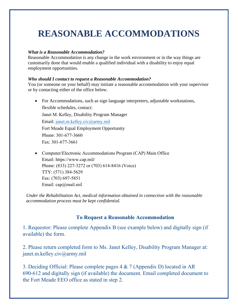### **REASONABLE ACCOMMODATIONS**

#### *What is a Reasonable Accommodation?*

Reasonable Accommodation is any change in the work environment or in the way things are customarily done that would enable a qualified individual with a disability to enjoy equal employment opportunities.

#### *Who should I contact to request a Reasonable Accommodation?*

You (or someone on your behalf) may initiate a reasonable accommodation with your supervisor or by contacting either of the office below.

- For Accommodations, such as sign language interpreters, adjustable workstations, flexible schedules, contact: Janet M. Kelley, Disability Program Manager Email: janet.m.kelley.civ@army.mil Fort Meade Equal Employment Opportunity Phone: 301-677-3660 Fax: 301-677-3661
- Computer/Electronic Accommodations Program (CAP) Main Office Email: https://www.cap.mil/ Phone: (833) 227-3272 or (703) 614-8416 (Voice) TTY: (571) 384-5629 Fax: (703) 697-5851 Email: cap@mail.mil

*Under the Rehabilitation Act, medical information obtained in connection with the reasonable accommodation process must be kept confidential.* 

#### **To Request a Reasonable Accommodation**

1. Requestor: Please complete Appendix B (see example below) and digitally sign (if available) the form.

2. Please return completed form to Ms. Janet Kelley, Disability Program Manager at: janet.m.kelley.civ@army.mil

3. Deciding Official: Please complete pages 4 & 7 (Appendix D) located in AR 690-612 and digitally sign (if available) the document. Email completed document to the Fort Meade EEO office as stated in step 2.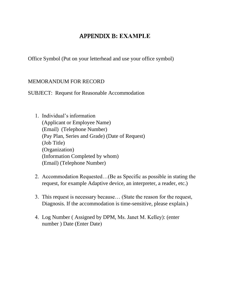### APPENDIX B**: EXAMPLE**

Office Symbol (Put on your letterhead and use your office symbol)

#### MEMORANDUM FOR RECORD

SUBJECT: Request for Reasonable Accommodation

- 1. Individual's information (Applicant or Employee Name) (Email) (Telephone Number) (Pay Plan, Series and Grade) (Date of Request) (Job Title) (Organization) (Information Completed by whom) (Email) (Telephone Number)
- 2. Accommodation Requested…(Be as Specific as possible in stating the request, for example Adaptive device, an interpreter, a reader, etc.)
- 3. This request is necessary because… (State the reason for the request, Diagnosis. If the accommodation is time-sensitive, please explain.)
- 4. Log Number ( Assigned by DPM, Ms. Janet M. Kelley): (enter number ) Date (Enter Date)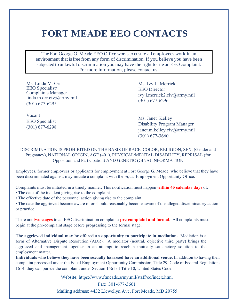### **FORT MEADE EEO CONTACTS**

The Fort George G. Meade EEO Office works to ensure all employees work in an environment that isfree from any form of discrimination. If you believe you have been subjected to unlawful discrimination you may have the right to file an EEO complaint. For more information, please contact us.

Ms. Linda M. Orr EEO Specialist/ Complaints Manager linda.m.orr.civ@army.mil (301) 677-6295

Ms. Ivy L. Merrick EEO Director ivy.l.merrick2.civ@army.mil (301) 677-6296

Vacant EEO Specialist (301) 677-6298

Ms. Janet Kelley Disability Program Manager janet.m.kelley.civ@army.mil (301) 677-3660

DISCRIMINATION IS PROHIBITED ON THE BASIS OF RACE, COLOR, RELIGION, SEX, (Gender and Pregnancy), NATIONAL ORIGIN, AGE (40+), PHYSICAL/MENTAL DISABILITY, REPRISAL (for Opposition and Participation) AND GENETIC (GINA) INFORMATION

Employees, former employees or applicants for employment at Fort George G. Meade, who believe that they have been discriminated against, may initiate a complaint with the Equal Employment Opportunity Office.

Complaints must be initiated in a timely manner. This notification must happen **within 45 calendar days** of:

• The date of the incident giving rise to the complaint.

• The effective date of the personnel action giving rise to the complaint.

• The date the aggrieved became aware of or should reasonably become aware of the alleged discriminatory action or practice.

There are **two stages** to an EEO discrimination complaint: **pre-complaint and formal**. All complaints must begin at the pre-complaint stage before progressing to the formal stage.

**The aggrieved individual may be offered an opportunity to participate in mediation.** Mediation is a form of Alternative Dispute Resolution (ADR). A mediator (neutral, objective third party) brings the aggrieved and management together in an attempt to reach a mutually satisfactory solution to the employment matter.

**Individuals who believe they have been sexually harassed have an additional venue.** In addition to having their complaint processed under the Equal Employment Opportunity Commission, Title 29, Code of Federal Regulations 1614, they can pursue the complaint under Section 1561 of Title 10, United States Code.

Website: https://www.ftmeade.army.mil/staff/eo/index.html

Fax: 301-677-3661 Mailing address: 4432 Llewellyn Ave, Fort Meade, MD 20755